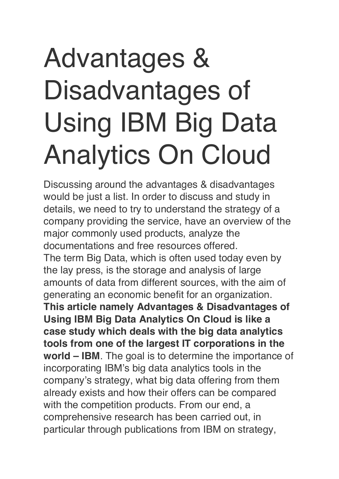# Advantages & Disadvantages of Using IBM Big Data Analytics On Cloud

Discussing around the advantages & disadvantages would be just a list. In order to discuss and study in details, we need to try to understand the strategy of a company providing the service, have an overview of the major commonly used products, analyze the documentations and free resources offered. The term Big Data, which is often used today even by the lay press, is the storage and analysis of large amounts of data from different sources, with the aim of generating an economic benefit for an organization. **This article namely Advantages & Disadvantages of Using IBM Big Data Analytics On Cloud is like a case study which deals with the big data analytics tools from one of the largest IT corporations in the world – IBM**. The goal is to determine the importance of incorporating IBM's big data analytics tools in the company's strategy, what big data offering from them already exists and how their offers can be compared with the competition products. From our end, a comprehensive research has been carried out, in particular through publications from IBM on strategy,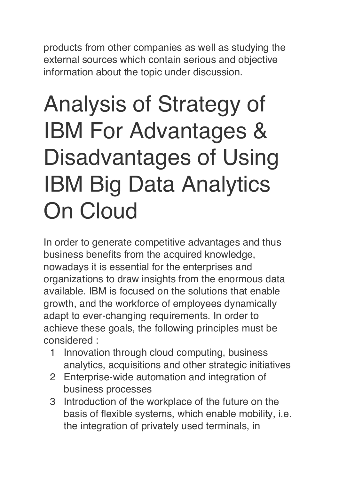products from other companies as well as studying the external sources which contain serious and objective information about the topic under discussion.

## Analysis of Strategy of IBM For Advantages & Disadvantages of Using IBM Big Data Analytics On Cloud

In order to generate competitive advantages and thus business benefits from the acquired knowledge, nowadays it is essential for the enterprises and organizations to draw insights from the enormous data available. IBM is focused on the solutions that enable growth, and the workforce of employees dynamically adapt to ever-changing requirements. In order to achieve these goals, the following principles must be considered :

- 1 Innovation through cloud computing, business analytics, acquisitions and other strategic initiatives
- 2 Enterprise-wide automation and integration of business processes
- 3 Introduction of the workplace of the future on the basis of flexible systems, which enable mobility, i.e. the integration of privately used terminals, in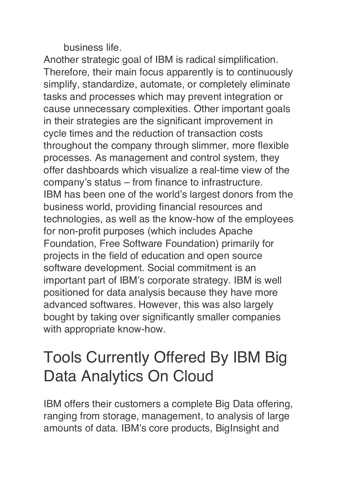business life.

Another strategic goal of IBM is radical simplification. Therefore, their main focus apparently is to continuously simplify, standardize, automate, or completely eliminate tasks and processes which may prevent integration or cause unnecessary complexities. Other important goals in their strategies are the significant improvement in cycle times and the reduction of transaction costs throughout the company through slimmer, more flexible processes. As management and control system, they offer dashboards which visualize a real-time view of the company's status – from finance to infrastructure. IBM has been one of the world's largest donors from the business world, providing financial resources and technologies, as well as the know-how of the employees for non-profit purposes (which includes Apache Foundation, Free Software Foundation) primarily for projects in the field of education and open source software development. Social commitment is an important part of IBM's corporate strategy. IBM is well positioned for data analysis because they have more advanced softwares. However, this was also largely bought by taking over significantly smaller companies with appropriate know-how.

#### Tools Currently Offered By IBM Big Data Analytics On Cloud

IBM offers their customers a complete Big Data offering, ranging from storage, management, to analysis of large amounts of data. IBM's core products, BigInsight and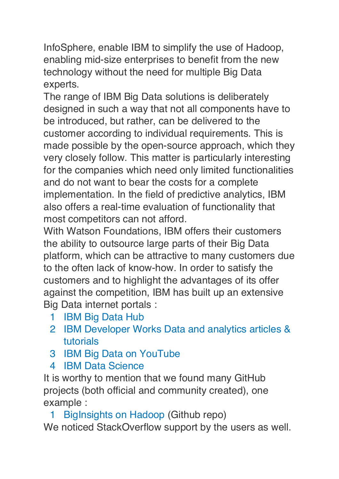InfoSphere, enable IBM to simplify the use of Hadoop, enabling mid-size enterprises to benefit from the new technology without the need for multiple Big Data experts.

The range of IBM Big Data solutions is deliberately designed in such a way that not all components have to be introduced, but rather, can be delivered to the customer according to individual requirements. This is made possible by the open-source approach, which they very closely follow. This matter is particularly interesting for the companies which need only limited functionalities and do not want to bear the costs for a complete implementation. In the field of predictive analytics, IBM also offers a real-time evaluation of functionality that most competitors can not afford.

With Watson Foundations, IBM offers their customers the ability to outsource large parts of their Big Data platform, which can be attractive to many customers due to the often lack of know-how. In order to satisfy the customers and to highlight the advantages of its offer against the competition, IBM has built up an extensive Big Data internet portals :

- 1 [IBM Big Data Hub](http://www.ibmbigdatahub.com/)
- 2 [IBM Developer Works Data and analytics articles &](https://www.ibm.com/developerworks/learn/analytics/)  [tutorials](https://www.ibm.com/developerworks/learn/analytics/)
- 3 [IBM Big Data on YouTube](https://www.youtube.com/user/ibmbigdata)
- 4 [IBM Data Science](https://datascience.ibm.com/)

It is worthy to mention that we found many GitHub projects (both official and community created), one example :

1 [BigInsights on Hadoop](https://github.com/IBM-Bluemix/BigInsights-on-Apache-Hadoop) (Github repo) We noticed StackOverflow support by the users as well.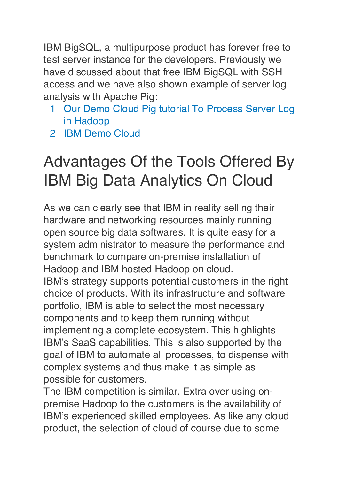IBM BigSQL, a multipurpose product has forever free to test server instance for the developers. Previously we have discussed about that free IBM BigSQL with SSH access and we have also shown example of server log analysis with Apache Pig:

- 1 [Our Demo Cloud Pig tutorial To Process Server Log](https://thecustomizewindows.com/2017/07/how-to-process-server-log-in-hadoop-pig-free-ibm-analytics-demo-cloud/)  [in Hadoop](https://thecustomizewindows.com/2017/07/how-to-process-server-log-in-hadoop-pig-free-ibm-analytics-demo-cloud/)
- 2 [IBM Demo Cloud](https://my.imdemocloud.com/)

#### Advantages Of the Tools Offered By IBM Big Data Analytics On Cloud

As we can clearly see that IBM in reality selling their hardware and networking resources mainly running open source big data softwares. It is quite easy for a system administrator to measure the performance and benchmark to compare on-premise installation of Hadoop and IBM hosted Hadoop on cloud. IBM's strategy supports potential customers in the right choice of products. With its infrastructure and software portfolio, IBM is able to select the most necessary components and to keep them running without implementing a complete ecosystem. This highlights IBM's SaaS capabilities. This is also supported by the goal of IBM to automate all processes, to dispense with complex systems and thus make it as simple as possible for customers.

The IBM competition is similar. Extra over using onpremise Hadoop to the customers is the availability of IBM's experienced skilled employees. As like any cloud product, the selection of cloud of course due to some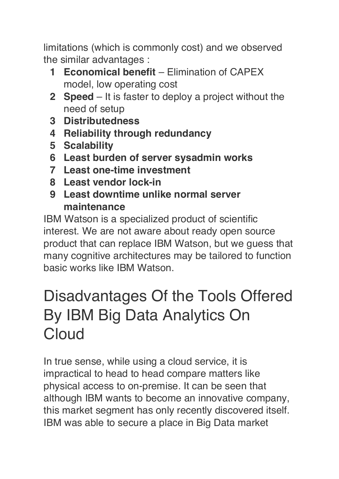limitations (which is commonly cost) and we observed the similar advantages :

- **1 Economical benefit** Elimination of CAPEX model, low operating cost
- **2 Speed** It is faster to deploy a project without the need of setup
- **3 Distributedness**
- **4 Reliability through redundancy**
- **5 Scalability**
- **6 Least burden of server sysadmin works**
- **7 Least one-time investment**
- **8 Least vendor lock-in**
- **9 Least downtime unlike normal server maintenance**

IBM Watson is a specialized product of scientific interest. We are not aware about ready open source product that can replace IBM Watson, but we guess that many cognitive architectures may be tailored to function basic works like IBM Watson.

#### Disadvantages Of the Tools Offered By IBM Big Data Analytics On Cloud

In true sense, while using a cloud service, it is impractical to head to head compare matters like physical access to on-premise. It can be seen that although IBM wants to become an innovative company, this market segment has only recently discovered itself. IBM was able to secure a place in Big Data market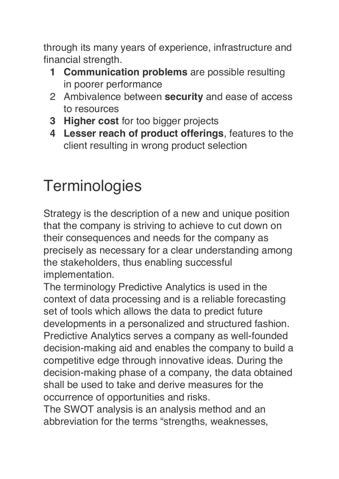through its many years of experience, infrastructure and financial strength.

- **1 Communication problems** are possible resulting in poorer performance
- 2 Ambivalence between **security** and ease of access to resources
- **3 Higher cost** for too bigger projects
- **4 Lesser reach of product offerings**, features to the client resulting in wrong product selection

### **Terminologies**

Strategy is the description of a new and unique position that the company is striving to achieve to cut down on their consequences and needs for the company as precisely as necessary for a clear understanding among the stakeholders, thus enabling successful implementation.

The terminology Predictive Analytics is used in the context of data processing and is a reliable forecasting set of tools which allows the data to predict future developments in a personalized and structured fashion. Predictive Analytics serves a company as well-founded decision-making aid and enables the company to build a competitive edge through innovative ideas. During the decision-making phase of a company, the data obtained shall be used to take and derive measures for the occurrence of opportunities and risks.

The SWOT analysis is an analysis method and an abbreviation for the terms "strengths, weaknesses,